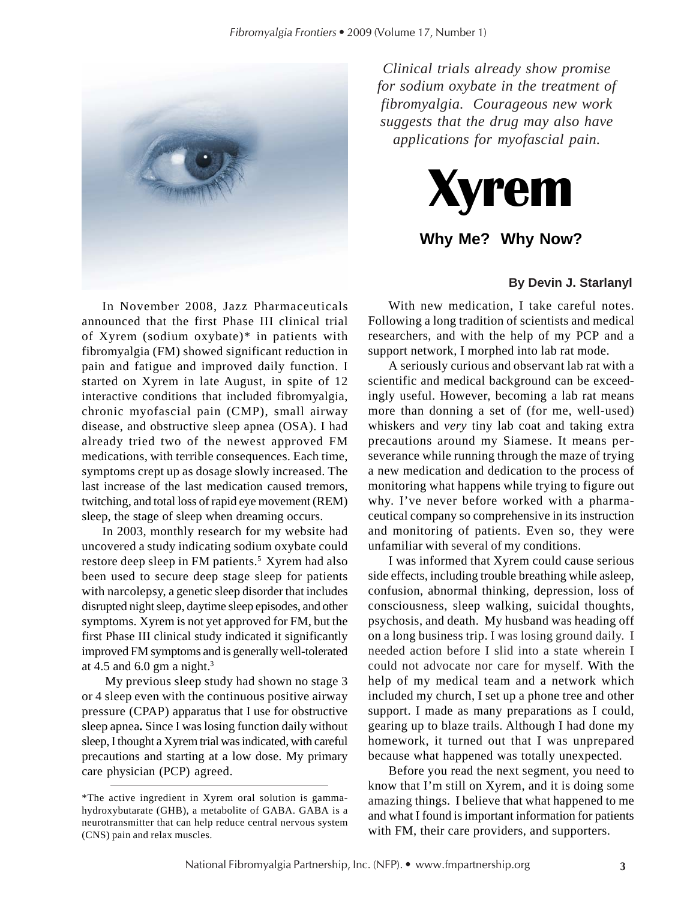

*Clinical trials already show promise for sodium oxybate in the treatment of fibromyalgia. Courageous new work suggests that the drug may also have applications for myofascial pain.*



## **Why Me? Why Now?**

### **By Devin J. Starlanyl**

In November 2008, Jazz Pharmaceuticals announced that the first Phase III clinical trial of Xyrem (sodium oxybate)\* in patients with fibromyalgia (FM) showed significant reduction in pain and fatigue and improved daily function. I started on Xyrem in late August, in spite of 12 interactive conditions that included fibromyalgia, chronic myofascial pain (CMP), small airway disease, and obstructive sleep apnea (OSA). I had already tried two of the newest approved FM medications, with terrible consequences. Each time, symptoms crept up as dosage slowly increased. The last increase of the last medication caused tremors, twitching, and total loss of rapid eye movement (REM) sleep, the stage of sleep when dreaming occurs.

In 2003, monthly research for my website had uncovered a study indicating sodium oxybate could restore deep sleep in FM patients.<sup>5</sup> Xyrem had also been used to secure deep stage sleep for patients with narcolepsy, a genetic sleep disorder that includes disrupted night sleep, daytime sleep episodes, and other symptoms. Xyrem is not yet approved for FM, but the first Phase III clinical study indicated it significantly improved FM symptoms and is generally well-tolerated at 4.5 and 6.0 gm a night. $3$ 

 My previous sleep study had shown no stage 3 or 4 sleep even with the continuous positive airway pressure (CPAP) apparatus that I use for obstructive sleep apnea**.** Since I was losing function daily without sleep, I thought a Xyrem trial was indicated, with careful precautions and starting at a low dose. My primary care physician (PCP) agreed.

With new medication, I take careful notes. Following a long tradition of scientists and medical researchers, and with the help of my PCP and a support network, I morphed into lab rat mode.

A seriously curious and observant lab rat with a scientific and medical background can be exceedingly useful. However, becoming a lab rat means more than donning a set of (for me, well-used) whiskers and *very* tiny lab coat and taking extra precautions around my Siamese. It means perseverance while running through the maze of trying a new medication and dedication to the process of monitoring what happens while trying to figure out why. I've never before worked with a pharmaceutical company so comprehensive in its instruction and monitoring of patients. Even so, they were unfamiliar with several of my conditions.

I was informed that Xyrem could cause serious side effects, including trouble breathing while asleep, confusion, abnormal thinking, depression, loss of consciousness, sleep walking, suicidal thoughts, psychosis, and death. My husband was heading off on a long business trip. I was losing ground daily. I needed action before I slid into a state wherein I could not advocate nor care for myself. With the help of my medical team and a network which included my church, I set up a phone tree and other support. I made as many preparations as I could, gearing up to blaze trails. Although I had done my homework, it turned out that I was unprepared because what happened was totally unexpected.

Before you read the next segment, you need to know that I'm still on Xyrem, and it is doing some amazing things. I believe that what happened to me and what I found is important information for patients with FM, their care providers, and supporters.

<sup>\*</sup>The active ingredient in Xyrem oral solution is gammahydroxybutarate (GHB), a metabolite of GABA. GABA is a neurotransmitter that can help reduce central nervous system (CNS) pain and relax muscles.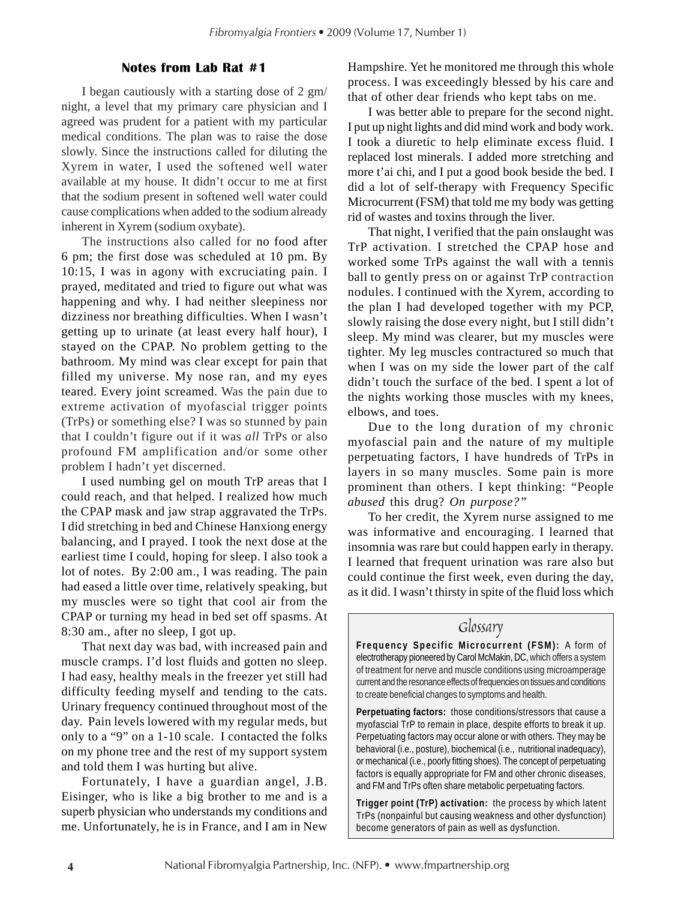### **Notes from Lab Rat #1**

I began cautiously with a starting dose of 2 gm/ night, a level that my primary care physician and I agreed was prudent for a patient with my particular medical conditions. The plan was to raise the dose slowly. Since the instructions called for diluting the Xyrem in water, I used the softened well water available at my house. It didn't occur to me at first that the sodium present in softened well water could cause complications when added to the sodium already inherent in Xyrem (sodium oxybate).

The instructions also called for no food after 6 pm; the first dose was scheduled at 10 pm. By 10:15, I was in agony with excruciating pain. I prayed, meditated and tried to figure out what was happening and why. I had neither sleepiness nor dizziness nor breathing difficulties. When I wasn't getting up to urinate (at least every half hour), I stayed on the CPAP. No problem getting to the bathroom. My mind was clear except for pain that filled my universe. My nose ran, and my eyes teared. Every joint screamed. Was the pain due to extreme activation of myofascial trigger points (TrPs) or something else? I was so stunned by pain that I couldn't figure out if it was *all* TrPs or also profound FM amplification and/or some other problem I hadn't yet discerned.

I used numbing gel on mouth TrP areas that I could reach, and that helped. I realized how much the CPAP mask and jaw strap aggravated the TrPs. I did stretching in bed and Chinese Hanxiong energy balancing, and I prayed. I took the next dose at the earliest time I could, hoping for sleep. I also took a lot of notes. By 2:00 am., I was reading. The pain had eased a little over time, relatively speaking, but my muscles were so tight that cool air from the CPAP or turning my head in bed set off spasms. At 8:30 am., after no sleep, I got up.

That next day was bad, with increased pain and muscle cramps. I'd lost fluids and gotten no sleep. I had easy, healthy meals in the freezer yet still had difficulty feeding myself and tending to the cats. Urinary frequency continued throughout most of the day. Pain levels lowered with my regular meds, but only to a "9" on a 1-10 scale. I contacted the folks on my phone tree and the rest of my support system and told them I was hurting but alive.

Fortunately, I have a guardian angel, J.B. Eisinger, who is like a big brother to me and is a superb physician who understands my conditions and me. Unfortunately, he is in France, and I am in New

Hampshire. Yet he monitored me through this whole process. I was exceedingly blessed by his care and that of other dear friends who kept tabs on me.

I was better able to prepare for the second night. I put up night lights and did mind work and body work. I took a diuretic to help eliminate excess fluid. I replaced lost minerals. I added more stretching and more t'ai chi, and I put a good book beside the bed. I did a lot of self-therapy with Frequency Specific Microcurrent (FSM) that told me my body was getting rid of wastes and toxins through the liver.

That night, I verified that the pain onslaught was TrP activation. I stretched the CPAP hose and worked some TrPs against the wall with a tennis ball to gently press on or against TrP contraction nodules. I continued with the Xyrem, according to the plan I had developed together with my PCP, slowly raising the dose every night, but I still didn't sleep. My mind was clearer, but my muscles were tighter. My leg muscles contractured so much that when I was on my side the lower part of the calf didn't touch the surface of the bed. I spent a lot of the nights working those muscles with my knees, elbows, and toes.

Due to the long duration of my chronic myofascial pain and the nature of my multiple perpetuating factors, I have hundreds of TrPs in layers in so many muscles. Some pain is more prominent than others. I kept thinking: "People *abused* this drug? *On purpose?"*

To her credit, the Xyrem nurse assigned to me was informative and encouraging. I learned that insomnia was rare but could happen early in therapy. I learned that frequent urination was rare also but could continue the first week, even during the day, as it did. I wasn't thirsty in spite of the fluid loss which

### *Glossary*

**Frequency Specific Microcurrent (FSM):** A form of electrotherapy pioneered by Carol McMakin, DC, which offers a system of treatment for nerve and muscle conditions using microamperage current and the resonance effects of frequencies on tissues and conditions to create beneficial changes to symptoms and health.

**Perpetuating factors:** those conditions/stressors that cause a myofascial TrP to remain in place, despite efforts to break it up. Perpetuating factors may occur alone or with others. They may be behavioral (i.e., posture), biochemical (i.e., nutritional inadequacy), or mechanical (i.e., poorly fitting shoes). The concept of perpetuating factors is equally appropriate for FM and other chronic diseases, and FM and TrPs often share metabolic perpetuating factors.

**Trigger point (TrP) activation:** the process by which latent TrPs (nonpainful but causing weakness and other dysfunction) become generators of pain as well as dysfunction.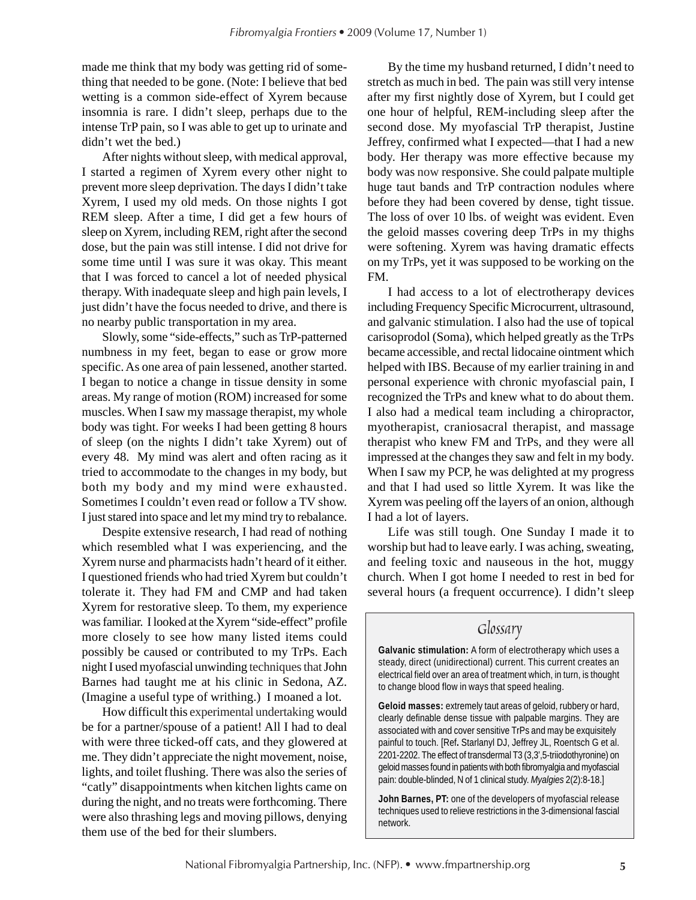made me think that my body was getting rid of something that needed to be gone. (Note: I believe that bed wetting is a common side-effect of Xyrem because insomnia is rare. I didn't sleep, perhaps due to the intense TrP pain, so I was able to get up to urinate and didn't wet the bed.)

After nights without sleep, with medical approval, I started a regimen of Xyrem every other night to prevent more sleep deprivation. The days I didn't take Xyrem, I used my old meds. On those nights I got REM sleep. After a time, I did get a few hours of sleep on Xyrem, including REM, right after the second dose, but the pain was still intense. I did not drive for some time until I was sure it was okay. This meant that I was forced to cancel a lot of needed physical therapy. With inadequate sleep and high pain levels, I just didn't have the focus needed to drive, and there is no nearby public transportation in my area.

Slowly, some "side-effects," such as TrP-patterned numbness in my feet, began to ease or grow more specific. As one area of pain lessened, another started. I began to notice a change in tissue density in some areas. My range of motion (ROM) increased for some muscles. When I saw my massage therapist, my whole body was tight. For weeks I had been getting 8 hours of sleep (on the nights I didn't take Xyrem) out of every 48. My mind was alert and often racing as it tried to accommodate to the changes in my body, but both my body and my mind were exhausted. Sometimes I couldn't even read or follow a TV show. I just stared into space and let my mind try to rebalance.

Despite extensive research, I had read of nothing which resembled what I was experiencing, and the Xyrem nurse and pharmacists hadn't heard of it either. I questioned friends who had tried Xyrem but couldn't tolerate it. They had FM and CMP and had taken Xyrem for restorative sleep. To them, my experience was familiar. I looked at the Xyrem "side-effect" profile more closely to see how many listed items could possibly be caused or contributed to my TrPs. Each night I used myofascial unwinding techniques thatJohn Barnes had taught me at his clinic in Sedona, AZ. (Imagine a useful type of writhing.) I moaned a lot.

How difficult this experimental undertaking would be for a partner/spouse of a patient! All I had to deal with were three ticked-off cats, and they glowered at me. They didn't appreciate the night movement, noise, lights, and toilet flushing. There was also the series of "catly" disappointments when kitchen lights came on during the night, and no treats were forthcoming. There were also thrashing legs and moving pillows, denying them use of the bed for their slumbers.

By the time my husband returned, I didn't need to stretch as much in bed. The pain was still very intense after my first nightly dose of Xyrem, but I could get one hour of helpful, REM-including sleep after the second dose. My myofascial TrP therapist, Justine Jeffrey, confirmed what I expected—that I had a new body. Her therapy was more effective because my body was now responsive. She could palpate multiple huge taut bands and TrP contraction nodules where before they had been covered by dense, tight tissue. The loss of over 10 lbs. of weight was evident. Even the geloid masses covering deep TrPs in my thighs were softening. Xyrem was having dramatic effects on my TrPs, yet it was supposed to be working on the FM.

I had access to a lot of electrotherapy devices including Frequency Specific Microcurrent, ultrasound, and galvanic stimulation. I also had the use of topical carisoprodol (Soma), which helped greatly as the TrPs became accessible, and rectal lidocaine ointment which helped with IBS. Because of my earlier training in and personal experience with chronic myofascial pain, I recognized the TrPs and knew what to do about them. I also had a medical team including a chiropractor, myotherapist, craniosacral therapist, and massage therapist who knew FM and TrPs, and they were all impressed at the changes they saw and felt in my body. When I saw my PCP, he was delighted at my progress and that I had used so little Xyrem. It was like the Xyrem was peeling off the layers of an onion, although I had a lot of layers.

Life was still tough. One Sunday I made it to worship but had to leave early. I was aching, sweating, and feeling toxic and nauseous in the hot, muggy church. When I got home I needed to rest in bed for several hours (a frequent occurrence). I didn't sleep

# *Glossary*

**Galvanic stimulation:** A form of electrotherapy which uses a steady, direct (unidirectional) current. This current creates an electrical field over an area of treatment which, in turn, is thought to change blood flow in ways that speed healing.

**Geloid masses:** extremely taut areas of geloid, rubbery or hard, clearly definable dense tissue with palpable margins. They are associated with and cover sensitive TrPs and may be exquisitely painful to touch. [Ref**.** Starlanyl DJ, Jeffrey JL, Roentsch G et al. 2201-2202. The effect of transdermal T3 (3,3',5-triiodothyronine) on geloid masses found in patients with both fibromyalgia and myofascial pain: double-blinded, N of 1 clinical study. *Myalgies* 2(2):8-18.]

**John Barnes, PT:** one of the developers of myofascial release techniques used to relieve restrictions in the 3-dimensional fascial network.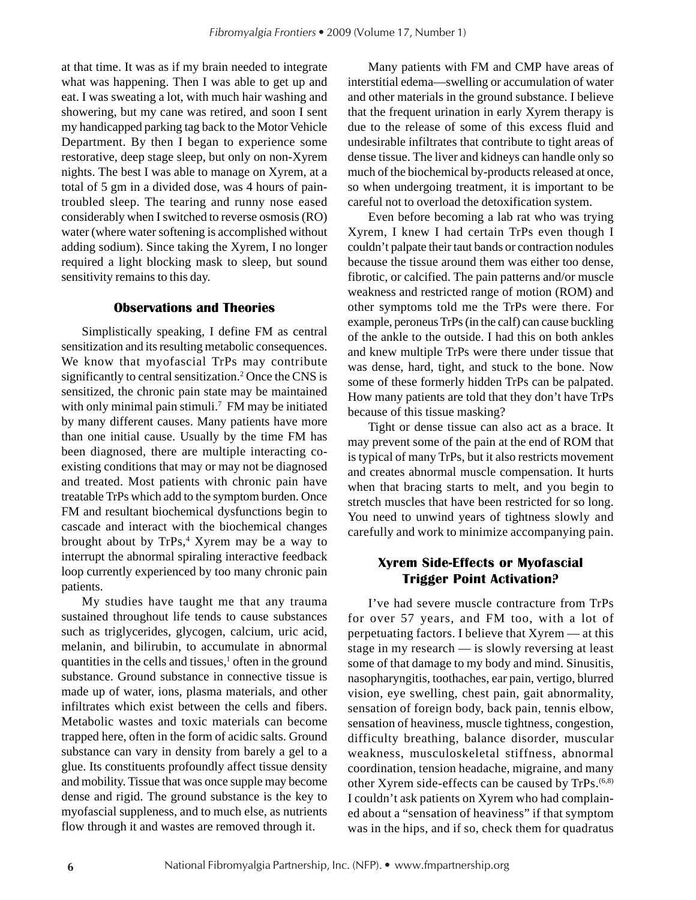at that time. It was as if my brain needed to integrate what was happening. Then I was able to get up and eat. I was sweating a lot, with much hair washing and showering, but my cane was retired, and soon I sent my handicapped parking tag back to the Motor Vehicle Department. By then I began to experience some restorative, deep stage sleep, but only on non-Xyrem nights. The best I was able to manage on Xyrem, at a total of 5 gm in a divided dose, was 4 hours of paintroubled sleep. The tearing and runny nose eased considerably when I switched to reverse osmosis (RO) water (where water softening is accomplished without adding sodium). Since taking the Xyrem, I no longer required a light blocking mask to sleep, but sound sensitivity remains to this day.

### **Observations and Theories**

Simplistically speaking, I define FM as central sensitization and its resulting metabolic consequences. We know that myofascial TrPs may contribute significantly to central sensitization.<sup>2</sup> Once the CNS is sensitized, the chronic pain state may be maintained with only minimal pain stimuli.<sup>7</sup> FM may be initiated by many different causes. Many patients have more than one initial cause. Usually by the time FM has been diagnosed, there are multiple interacting coexisting conditions that may or may not be diagnosed and treated. Most patients with chronic pain have treatable TrPs which add to the symptom burden. Once FM and resultant biochemical dysfunctions begin to cascade and interact with the biochemical changes brought about by TrPs,<sup>4</sup> Xyrem may be a way to interrupt the abnormal spiraling interactive feedback loop currently experienced by too many chronic pain patients.

My studies have taught me that any trauma sustained throughout life tends to cause substances such as triglycerides, glycogen, calcium, uric acid, melanin, and bilirubin, to accumulate in abnormal quantities in the cells and tissues,<sup>1</sup> often in the ground substance. Ground substance in connective tissue is made up of water, ions, plasma materials, and other infiltrates which exist between the cells and fibers. Metabolic wastes and toxic materials can become trapped here, often in the form of acidic salts. Ground substance can vary in density from barely a gel to a glue. Its constituents profoundly affect tissue density and mobility. Tissue that was once supple may become dense and rigid. The ground substance is the key to myofascial suppleness, and to much else, as nutrients flow through it and wastes are removed through it.

Many patients with FM and CMP have areas of interstitial edema—swelling or accumulation of water and other materials in the ground substance. I believe that the frequent urination in early Xyrem therapy is due to the release of some of this excess fluid and undesirable infiltrates that contribute to tight areas of dense tissue. The liver and kidneys can handle only so much of the biochemical by-products released at once, so when undergoing treatment, it is important to be careful not to overload the detoxification system.

Even before becoming a lab rat who was trying Xyrem, I knew I had certain TrPs even though I couldn't palpate their taut bands or contraction nodules because the tissue around them was either too dense, fibrotic, or calcified. The pain patterns and/or muscle weakness and restricted range of motion (ROM) and other symptoms told me the TrPs were there. For example, peroneus TrPs (in the calf) can cause buckling of the ankle to the outside. I had this on both ankles and knew multiple TrPs were there under tissue that was dense, hard, tight, and stuck to the bone. Now some of these formerly hidden TrPs can be palpated. How many patients are told that they don't have TrPs because of this tissue masking?

Tight or dense tissue can also act as a brace. It may prevent some of the pain at the end of ROM that is typical of many TrPs, but it also restricts movement and creates abnormal muscle compensation. It hurts when that bracing starts to melt, and you begin to stretch muscles that have been restricted for so long. You need to unwind years of tightness slowly and carefully and work to minimize accompanying pain.

### **Xyrem Side-Effects or Myofascial Trigger Point Activation?**

I've had severe muscle contracture from TrPs for over 57 years, and FM too, with a lot of perpetuating factors. I believe that Xyrem — at this stage in my research — is slowly reversing at least some of that damage to my body and mind. Sinusitis, nasopharyngitis, toothaches, ear pain, vertigo, blurred vision, eye swelling, chest pain, gait abnormality, sensation of foreign body, back pain, tennis elbow, sensation of heaviness, muscle tightness, congestion, difficulty breathing, balance disorder, muscular weakness, musculoskeletal stiffness, abnormal coordination, tension headache, migraine, and many other Xyrem side-effects can be caused by TrPs.(6,8) I couldn't ask patients on Xyrem who had complained about a "sensation of heaviness" if that symptom was in the hips, and if so, check them for quadratus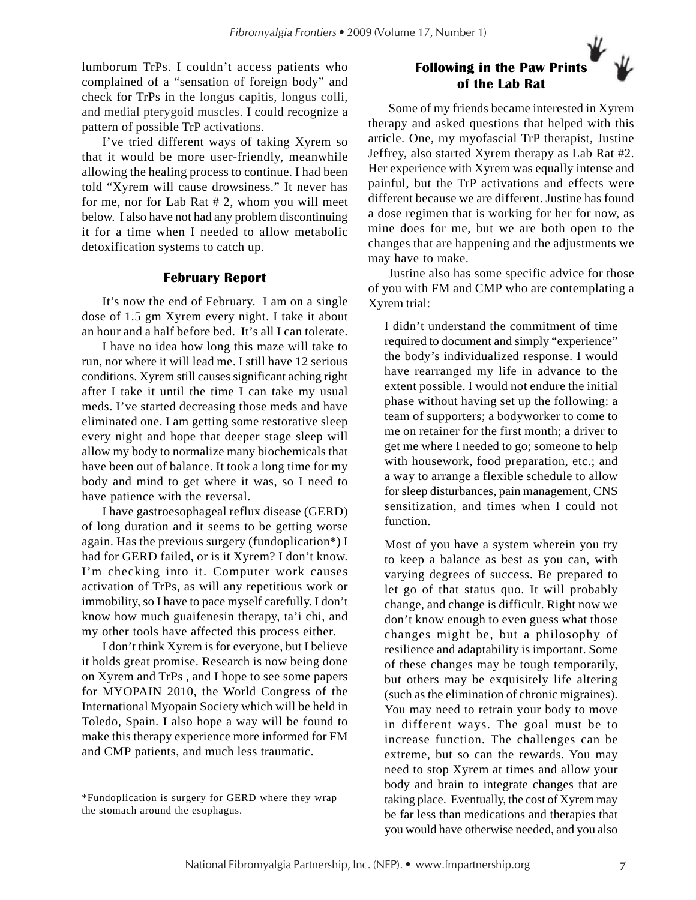lumborum TrPs. I couldn't access patients who complained of a "sensation of foreign body" and check for TrPs in the longus capitis, longus colli, and medial pterygoid muscles. I could recognize a pattern of possible TrP activations.

I've tried different ways of taking Xyrem so that it would be more user-friendly, meanwhile allowing the healing process to continue. I had been told "Xyrem will cause drowsiness." It never has for me, nor for Lab Rat # 2, whom you will meet below. I also have not had any problem discontinuing it for a time when I needed to allow metabolic detoxification systems to catch up.

#### **February Report**

It's now the end of February. I am on a single dose of 1.5 gm Xyrem every night. I take it about an hour and a half before bed. It's all I can tolerate.

I have no idea how long this maze will take to run, nor where it will lead me. I still have 12 serious conditions. Xyrem still causes significant aching right after I take it until the time I can take my usual meds. I've started decreasing those meds and have eliminated one. I am getting some restorative sleep every night and hope that deeper stage sleep will allow my body to normalize many biochemicals that have been out of balance. It took a long time for my body and mind to get where it was, so I need to have patience with the reversal.

I have gastroesophageal reflux disease (GERD) of long duration and it seems to be getting worse again. Has the previous surgery (fundoplication\*) I had for GERD failed, or is it Xyrem? I don't know. I'm checking into it. Computer work causes activation of TrPs, as will any repetitious work or immobility, so I have to pace myself carefully. I don't know how much guaifenesin therapy, ta'i chi, and my other tools have affected this process either.

I don't think Xyrem is for everyone, but I believe it holds great promise. Research is now being done on Xyrem and TrPs , and I hope to see some papers for MYOPAIN 2010, the World Congress of the International Myopain Society which will be held in Toledo, Spain. I also hope a way will be found to make this therapy experience more informed for FM and CMP patients, and much less traumatic.

## **Following in the Paw Prints of the Lab Rat**

Some of my friends became interested in Xyrem therapy and asked questions that helped with this article. One, my myofascial TrP therapist, Justine Jeffrey, also started Xyrem therapy as Lab Rat #2. Her experience with Xyrem was equally intense and painful, but the TrP activations and effects were different because we are different. Justine has found a dose regimen that is working for her for now, as mine does for me, but we are both open to the changes that are happening and the adjustments we may have to make.

Justine also has some specific advice for those of you with FM and CMP who are contemplating a Xyrem trial:

I didn't understand the commitment of time required to document and simply "experience" the body's individualized response. I would have rearranged my life in advance to the extent possible. I would not endure the initial phase without having set up the following: a team of supporters; a bodyworker to come to me on retainer for the first month; a driver to get me where I needed to go; someone to help with housework, food preparation, etc.; and a way to arrange a flexible schedule to allow for sleep disturbances, pain management, CNS sensitization, and times when I could not function.

Most of you have a system wherein you try to keep a balance as best as you can, with varying degrees of success. Be prepared to let go of that status quo. It will probably change, and change is difficult. Right now we don't know enough to even guess what those changes might be, but a philosophy of resilience and adaptability is important. Some of these changes may be tough temporarily, but others may be exquisitely life altering (such as the elimination of chronic migraines). You may need to retrain your body to move in different ways. The goal must be to increase function. The challenges can be extreme, but so can the rewards. You may need to stop Xyrem at times and allow your body and brain to integrate changes that are taking place. Eventually, the cost of Xyrem may be far less than medications and therapies that you would have otherwise needed, and you also

<sup>\*</sup>Fundoplication is surgery for GERD where they wrap the stomach around the esophagus.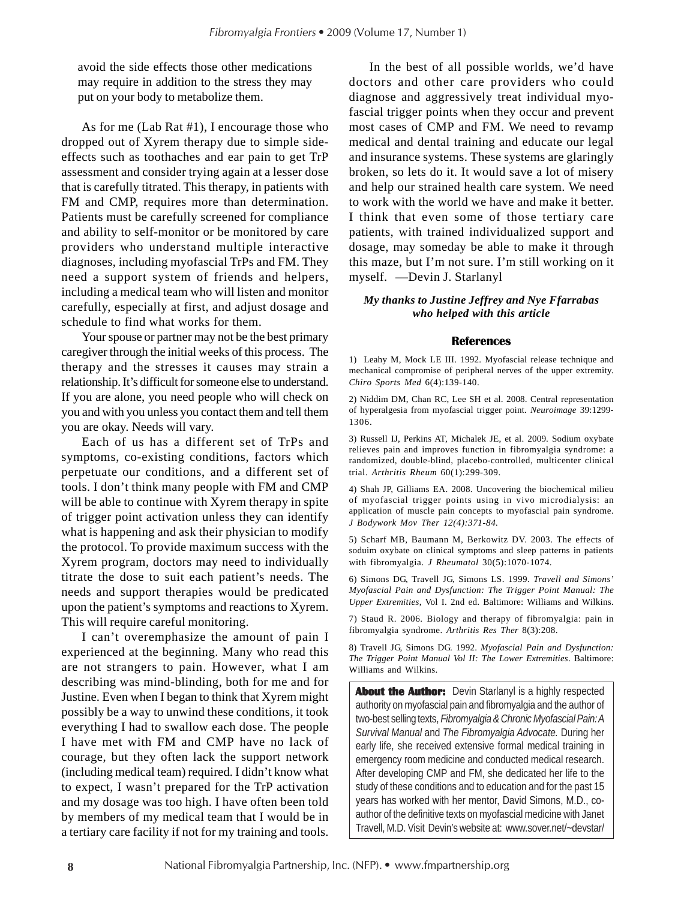avoid the side effects those other medications may require in addition to the stress they may put on your body to metabolize them.

As for me (Lab Rat #1), I encourage those who dropped out of Xyrem therapy due to simple sideeffects such as toothaches and ear pain to get TrP assessment and consider trying again at a lesser dose that is carefully titrated. This therapy, in patients with FM and CMP, requires more than determination. Patients must be carefully screened for compliance and ability to self-monitor or be monitored by care providers who understand multiple interactive diagnoses, including myofascial TrPs and FM. They need a support system of friends and helpers, including a medical team who will listen and monitor carefully, especially at first, and adjust dosage and schedule to find what works for them.

Your spouse or partner may not be the best primary caregiver through the initial weeks of this process. The therapy and the stresses it causes may strain a relationship. It's difficult for someone else to understand. If you are alone, you need people who will check on you and with you unless you contact them and tell them you are okay. Needs will vary.

Each of us has a different set of TrPs and symptoms, co-existing conditions, factors which perpetuate our conditions, and a different set of tools. I don't think many people with FM and CMP will be able to continue with Xyrem therapy in spite of trigger point activation unless they can identify what is happening and ask their physician to modify the protocol. To provide maximum success with the Xyrem program, doctors may need to individually titrate the dose to suit each patient's needs. The needs and support therapies would be predicated upon the patient's symptoms and reactions to Xyrem. This will require careful monitoring.

I can't overemphasize the amount of pain I experienced at the beginning. Many who read this are not strangers to pain. However, what I am describing was mind-blinding, both for me and for Justine. Even when I began to think that Xyrem might possibly be a way to unwind these conditions, it took everything I had to swallow each dose. The people I have met with FM and CMP have no lack of courage, but they often lack the support network (including medical team) required. I didn't know what to expect, I wasn't prepared for the TrP activation and my dosage was too high. I have often been told by members of my medical team that I would be in a tertiary care facility if not for my training and tools.

In the best of all possible worlds, we'd have doctors and other care providers who could diagnose and aggressively treat individual myofascial trigger points when they occur and prevent most cases of CMP and FM. We need to revamp medical and dental training and educate our legal and insurance systems. These systems are glaringly broken, so lets do it. It would save a lot of misery and help our strained health care system. We need to work with the world we have and make it better. I think that even some of those tertiary care patients, with trained individualized support and dosage, may someday be able to make it through this maze, but I'm not sure. I'm still working on it myself.—Devin J. Starlanyl

#### *My thanks to Justine Jeffrey and Nye Ffarrabas who helped with this article*

#### **References**

1) Leahy M, Mock LE III. 1992. Myofascial release technique and mechanical compromise of peripheral nerves of the upper extremity. *Chiro Sports Med* 6(4):139-140.

2) Niddim DM, Chan RC, Lee SH et al. 2008. Central representation of hyperalgesia from myofascial trigger point. *Neuroimage* 39:1299- 1306.

3) Russell IJ, Perkins AT, Michalek JE, et al. 2009. Sodium oxybate relieves pain and improves function in fibromyalgia syndrome: a randomized, double-blind, placebo-controlled, multicenter clinical trial. *Arthritis Rheum* 60(1):299-309.

4) Shah JP, Gilliams EA. 2008. Uncovering the biochemical milieu of myofascial trigger points using in vivo microdialysis: an application of muscle pain concepts to myofascial pain syndrome. *J Bodywork Mov Ther 12(4):371-84.*

5) Scharf MB, Baumann M, Berkowitz DV. 2003. The effects of soduim oxybate on clinical symptoms and sleep patterns in patients with fibromyalgia. *J Rheumatol* 30(5):1070-1074.

6) Simons DG, Travell JG, Simons LS. 1999. *Travell and Simons' Myofascial Pain and Dysfunction: The Trigger Point Manual: The Upper Extremities*, Vol I. 2nd ed. Baltimore: Williams and Wilkins.

7) Staud R. 2006. Biology and therapy of fibromyalgia: pain in fibromyalgia syndrome. *Arthritis Res Ther* 8(3):208.

8) Travell JG, Simons DG. 1992. *Myofascial Pain and Dysfunction: The Trigger Point Manual Vol II: The Lower Extremities*. Baltimore: Williams and Wilkins.

**About the Author:** Devin Starlanyl is a highly respected authority on myofascial pain and fibromyalgia and the author of two-best selling texts, *Fibromyalgia & Chronic Myofascial Pain: A Survival Manual* and *The Fibromyalgia Advocate.* During her early life, she received extensive formal medical training in emergency room medicine and conducted medical research. After developing CMP and FM, she dedicated her life to the study of these conditions and to education and for the past 15 years has worked with her mentor, David Simons, M.D., coauthor of the definitive texts on myofascial medicine with Janet Travell, M.D. Visit Devin's website at: www.sover.net/~devstar/